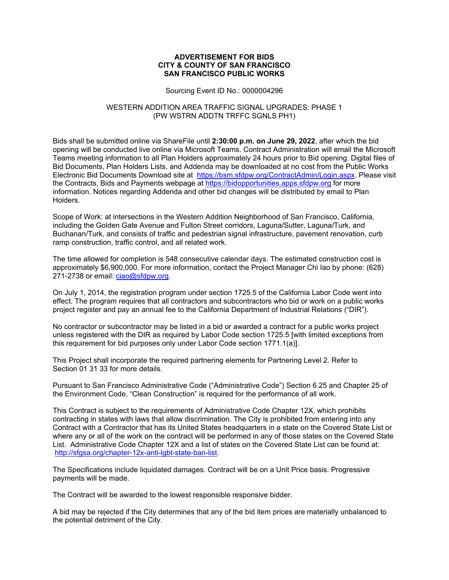### **ADVERTISEMENT FOR BIDS CITY & COUNTY OF SAN FRANCISCO SAN FRANCISCO PUBLIC WORKS**

#### Sourcing Event ID No.: 0000004296

### WESTERN ADDITION AREA TRAFFIC SIGNAL UPGRADES: PHASE 1 (PW WSTRN ADDTN TRFFC SGNLS PH1)

Bids shall be submitted online via ShareFile until **2:30:00 p.m. on June 29, 2022**, after which the bid opening will be conducted live online via Microsoft Teams. Contract Administration will email the Microsoft Teams meeting information to all Plan Holders approximately 24 hours prior to Bid opening. Digital files of Bid Documents, Plan Holders Lists, and Addenda may be downloaded at no cost from the Public Works Electronic Bid Documents Download site at https://bsm.sfdpw.org/ContractAdmin/Login.aspx. Please visit the Contracts, Bids and Payments webpage at https://bidopportunities.apps.sfdpw.org for more information. Notices regarding Addenda and other bid changes will be distributed by email to Plan Holders.

Scope of Work: at intersections in the Western Addition Neighborhood of San Francisco, California, including the Golden Gate Avenue and Fulton Street corridors, Laguna/Sutter, Laguna/Turk, and Buchanan/Turk, and consists of traffic and pedestrian signal infrastructure, pavement renovation, curb ramp construction, traffic control, and all related work.

The time allowed for completion is 548 consecutive calendar days. The estimated construction cost is approximately \$6,900,000. For more information, contact the Project Manager Chi Iao by phone: (628) 271-2738 or email: ciao@sfdpw.org.

On July 1, 2014, the registration program under section 1725.5 of the California Labor Code went into effect. The program requires that all contractors and subcontractors who bid or work on a public works project register and pay an annual fee to the California Department of Industrial Relations ("DIR").

No contractor or subcontractor may be listed in a bid or awarded a contract for a public works project unless registered with the DIR as required by Labor Code section 1725.5 [with limited exceptions from this requirement for bid purposes only under Labor Code section 1771.1(a)].

This Project shall incorporate the required partnering elements for Partnering Level 2. Refer to Section 01 31 33 for more details.

Pursuant to San Francisco Administrative Code ("Administrative Code") Section 6.25 and Chapter 25 of the Environment Code, "Clean Construction" is required for the performance of all work.

This Contract is subject to the requirements of Administrative Code Chapter 12X, which prohibits contracting in states with laws that allow discrimination. The City is prohibited from entering into any Contract with a Contractor that has its United States headquarters in a state on the Covered State List or where any or all of the work on the contract will be performed in any of those states on the Covered State List. Administrative Code Chapter 12X and a list of states on the Covered State List can be found at: http://sfgsa.org/chapter-12x-anti-lgbt-state-ban-list.

The Specifications include liquidated damages. Contract will be on a Unit Price basis. Progressive payments will be made.

The Contract will be awarded to the lowest responsible responsive bidder.

A bid may be rejected if the City determines that any of the bid item prices are materially unbalanced to the potential detriment of the City.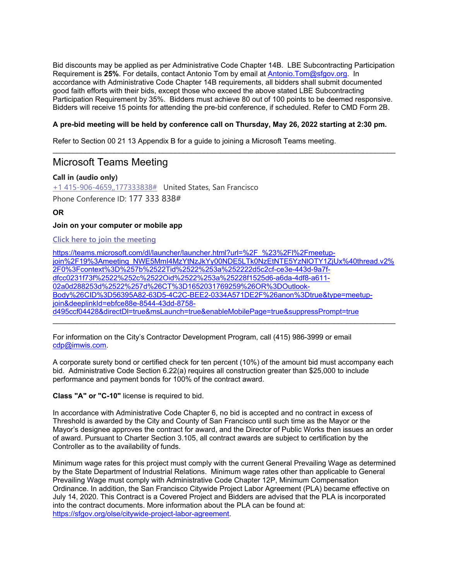Bid discounts may be applied as per Administrative Code Chapter 14B. LBE Subcontracting Participation Requirement is **25%**. For details, contact Antonio Tom by email at Antonio.Tom@sfgov.org. In accordance with Administrative Code Chapter 14B requirements, all bidders shall submit documented good faith efforts with their bids, except those who exceed the above stated LBE Subcontracting Participation Requirement by 35%. Bidders must achieve 80 out of 100 points to be deemed responsive. Bidders will receive 15 points for attending the pre-bid conference, if scheduled. Refer to CMD Form 2B.

## **A pre-bid meeting will be held by conference call on Thursday, May 26, 2022 starting at 2:30 pm.**

\_\_\_\_\_\_\_\_\_\_\_\_\_\_\_\_\_\_\_\_\_\_\_\_\_\_\_\_\_\_\_\_\_\_\_\_\_\_\_\_\_\_\_\_\_\_\_\_\_\_\_\_\_\_\_\_\_\_\_\_\_\_\_\_\_\_\_\_\_\_\_\_\_\_\_\_\_\_\_\_\_\_\_\_

Refer to Section 00 21 13 Appendix B for a guide to joining a Microsoft Teams meeting.

# Microsoft Teams Meeting

**Call in (audio only)**

+1 415-906-4659,,177333838# United States, San Francisco Phone Conference ID: 177 333 838#

## **OR**

## **Join on your computer or mobile app**

## **Click here to join the meeting**

https://teams.microsoft.com/dl/launcher/launcher.html?url=%2F\_%23%2Fl%2Fmeetupjoin%2F19%3Ameeting\_NWE5MmI4MzYtNzJkYy00NDE5LTk0NzEtNTE5YzNlOTY1ZjUx%40thread.v2% 2F0%3Fcontext%3D%257b%2522Tid%2522%253a%252222d5c2cf-ce3e-443d-9a7fdfcc0231f73f%2522%252c%2522Oid%2522%253a%25228f1525d6-a6da-4df8-a611- 02a0d288253d%2522%257d%26CT%3D1652031769259%26OR%3DOutlook-Body%26CID%3D56395A82-63D5-4C2C-BEE2-0334A571DE2F%26anon%3Dtrue&type=meetupjoin&deeplinkId=ebfce88e-8544-43dd-8758 d495ccf04428&directDl=true&msLaunch=true&enableMobilePage=true&suppressPrompt=true

\_\_\_\_\_\_\_\_\_\_\_\_\_\_\_\_\_\_\_\_\_\_\_\_\_\_\_\_\_\_\_\_\_\_\_\_\_\_\_\_\_\_\_\_\_\_\_\_\_\_\_\_\_\_\_\_\_\_\_\_\_\_\_\_\_\_\_\_\_\_\_\_\_\_\_\_\_\_\_\_\_\_\_\_

For information on the City's Contractor Development Program, call (415) 986-3999 or email cdp@imwis.com.

A corporate surety bond or certified check for ten percent (10%) of the amount bid must accompany each bid. Administrative Code Section 6.22(a) requires all construction greater than \$25,000 to include performance and payment bonds for 100% of the contract award.

**Class "A" or "C-10"** license is required to bid.

In accordance with Administrative Code Chapter 6, no bid is accepted and no contract in excess of Threshold is awarded by the City and County of San Francisco until such time as the Mayor or the Mayor's designee approves the contract for award, and the Director of Public Works then issues an order of award. Pursuant to Charter Section 3.105, all contract awards are subject to certification by the Controller as to the availability of funds.

Minimum wage rates for this project must comply with the current General Prevailing Wage as determined by the State Department of Industrial Relations. Minimum wage rates other than applicable to General Prevailing Wage must comply with Administrative Code Chapter 12P, Minimum Compensation Ordinance. In addition, the San Francisco Citywide Project Labor Agreement (PLA) became effective on July 14, 2020. This Contract is a Covered Project and Bidders are advised that the PLA is incorporated into the contract documents. More information about the PLA can be found at: https://sfgov.org/olse/citywide-project-labor-agreement.